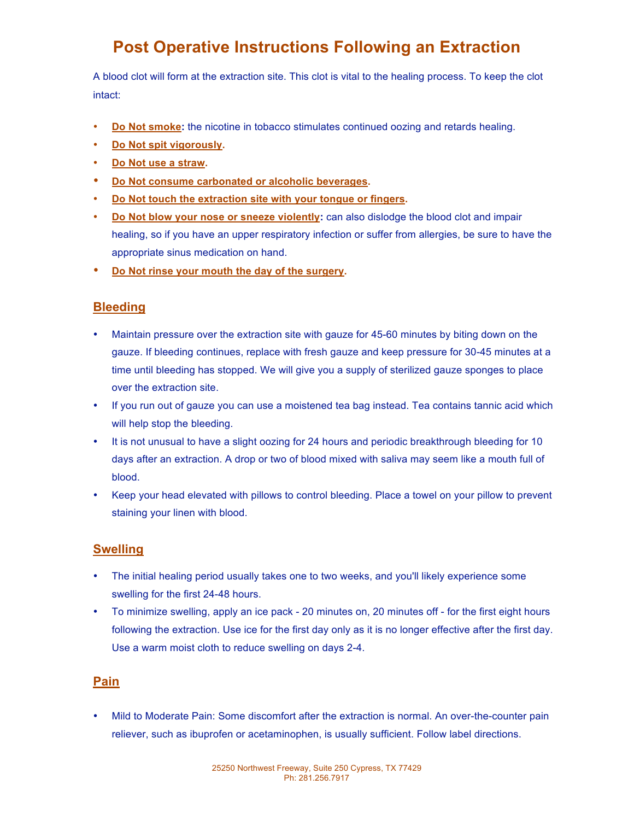# **Post Operative Instructions Following an Extraction**

A blood clot will form at the extraction site. This clot is vital to the healing process. To keep the clot intact:

- **Do Not smoke:** the nicotine in tobacco stimulates continued oozing and retards healing.
- **Do Not spit vigorously.**
- **Do Not use a straw.**
- **Do Not consume carbonated or alcoholic beverages.**
- **Do Not touch the extraction site with your tongue or fingers.**
- **Do Not blow your nose or sneeze violently:** can also dislodge the blood clot and impair healing, so if you have an upper respiratory infection or suffer from allergies, be sure to have the appropriate sinus medication on hand.
- **Do Not rinse your mouth the day of the surgery.**

## **Bleeding**

- Maintain pressure over the extraction site with gauze for 45-60 minutes by biting down on the gauze. If bleeding continues, replace with fresh gauze and keep pressure for 30-45 minutes at a time until bleeding has stopped. We will give you a supply of sterilized gauze sponges to place over the extraction site.
- If you run out of gauze you can use a moistened tea bag instead. Tea contains tannic acid which will help stop the bleeding.
- It is not unusual to have a slight oozing for 24 hours and periodic breakthrough bleeding for 10 days after an extraction. A drop or two of blood mixed with saliva may seem like a mouth full of blood.
- Keep your head elevated with pillows to control bleeding. Place a towel on your pillow to prevent staining your linen with blood.

## **Swelling**

- The initial healing period usually takes one to two weeks, and you'll likely experience some swelling for the first 24-48 hours.
- To minimize swelling, apply an ice pack 20 minutes on, 20 minutes off for the first eight hours following the extraction. Use ice for the first day only as it is no longer effective after the first day. Use a warm moist cloth to reduce swelling on days 2-4.

#### **Pain**

• Mild to Moderate Pain: Some discomfort after the extraction is normal. An over-the-counter pain reliever, such as ibuprofen or acetaminophen, is usually sufficient. Follow label directions.